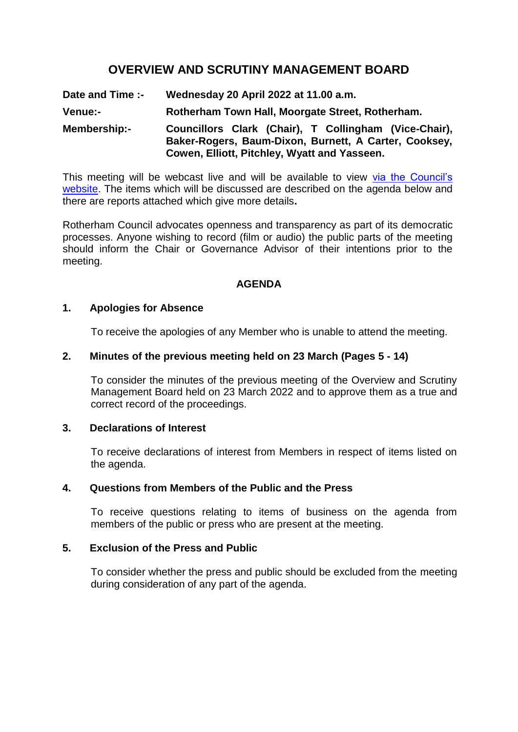# **OVERVIEW AND SCRUTINY MANAGEMENT BOARD**

**Date and Time :- Wednesday 20 April 2022 at 11.00 a.m. Venue:- Rotherham Town Hall, Moorgate Street, Rotherham. Membership:- Councillors Clark (Chair), T Collingham (Vice-Chair), Baker-Rogers, Baum-Dixon, Burnett, A Carter, Cooksey, Cowen, Elliott, Pitchley, Wyatt and Yasseen.**

This meeting will be webcast live and will be available to view [via the Council's](https://rotherham.public-i.tv/core/portal/home)  [website.](https://rotherham.public-i.tv/core/portal/home) The items which will be discussed are described on the agenda below and there are reports attached which give more details**.**

Rotherham Council advocates openness and transparency as part of its democratic processes. Anyone wishing to record (film or audio) the public parts of the meeting should inform the Chair or Governance Advisor of their intentions prior to the meeting.

# **AGENDA**

# **1. Apologies for Absence**

To receive the apologies of any Member who is unable to attend the meeting.

# **2. Minutes of the previous meeting held on 23 March (Pages 5 - 14)**

To consider the minutes of the previous meeting of the Overview and Scrutiny Management Board held on 23 March 2022 and to approve them as a true and correct record of the proceedings.

#### **3. Declarations of Interest**

To receive declarations of interest from Members in respect of items listed on the agenda.

#### **4. Questions from Members of the Public and the Press**

To receive questions relating to items of business on the agenda from members of the public or press who are present at the meeting.

### **5. Exclusion of the Press and Public**

To consider whether the press and public should be excluded from the meeting during consideration of any part of the agenda.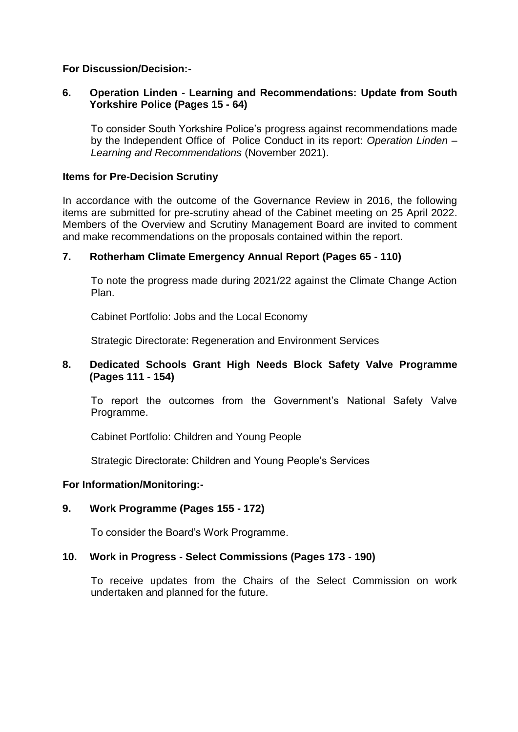**For Discussion/Decision:-**

# **6. Operation Linden - Learning and Recommendations: Update from South Yorkshire Police (Pages 15 - 64)**

To consider South Yorkshire Police's progress against recommendations made by the Independent Office of Police Conduct in its report: *Operation Linden – Learning and Recommendations* (November 2021).

### **Items for Pre-Decision Scrutiny**

In accordance with the outcome of the Governance Review in 2016, the following items are submitted for pre-scrutiny ahead of the Cabinet meeting on 25 April 2022. Members of the Overview and Scrutiny Management Board are invited to comment and make recommendations on the proposals contained within the report.

# **7. Rotherham Climate Emergency Annual Report (Pages 65 - 110)**

To note the progress made during 2021/22 against the Climate Change Action Plan.

Cabinet Portfolio: Jobs and the Local Economy

Strategic Directorate: Regeneration and Environment Services

# **8. Dedicated Schools Grant High Needs Block Safety Valve Programme (Pages 111 - 154)**

To report the outcomes from the Government's National Safety Valve Programme.

Cabinet Portfolio: Children and Young People

Strategic Directorate: Children and Young People's Services

#### **For Information/Monitoring:-**

# **9. Work Programme (Pages 155 - 172)**

To consider the Board's Work Programme.

#### **10. Work in Progress - Select Commissions (Pages 173 - 190)**

To receive updates from the Chairs of the Select Commission on work undertaken and planned for the future.